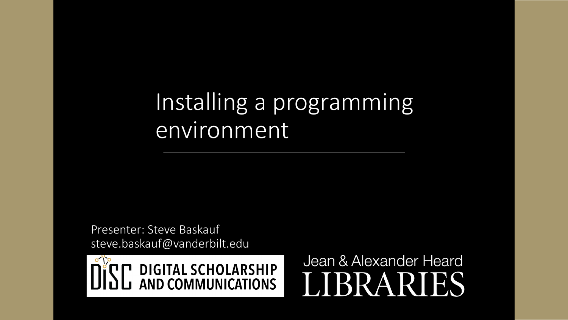# Installing a programming environment

Presenter: Steve Baskauf steve.baskauf@vanderbilt.edu



Jean & Alexander Heard RI H.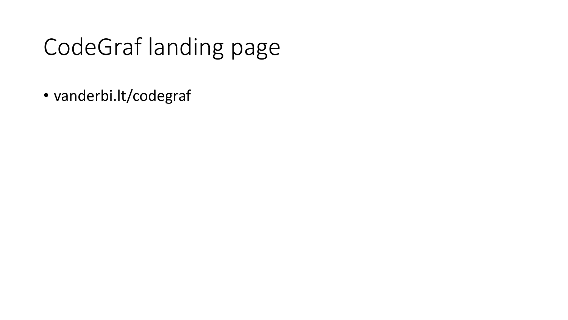# CodeGraf landing page

• vanderbi.lt/codegraf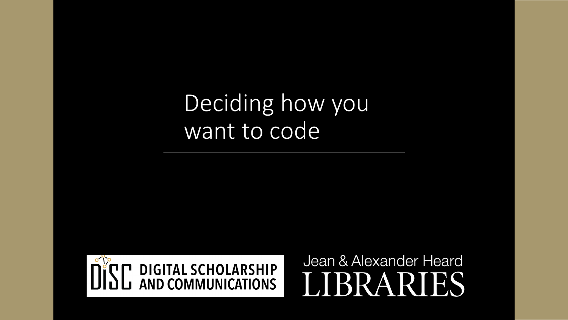# Deciding how you want to code



Jean & Alexander Heard RR A **RT** ES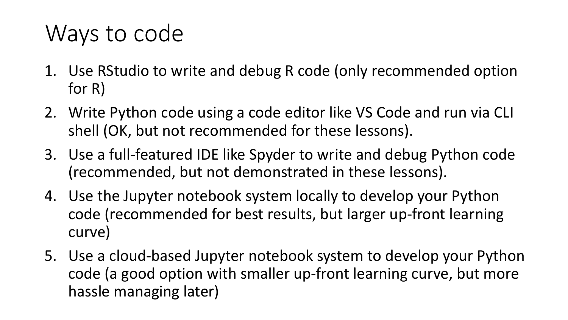### Ways to code

- 1. Use RStudio to write and debug R code (only recommended option for R)
- 2. Write Python code using a code editor like VS Code and run via CLI shell (OK, but not recommended for these lessons).
- 3. Use a full-featured IDE like Spyder to write and debug Python code (recommended, but not demonstrated in these lessons).
- 4. Use the Jupyter notebook system locally to develop your Python code (recommended for best results, but larger up-front learning curve)
- 5. Use a cloud-based Jupyter notebook system to develop your Python code (a good option with smaller up-front learning curve, but more hassle managing later)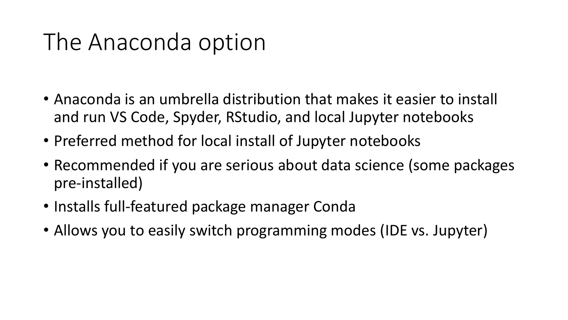# The Anaconda option

- Anaconda is an umbrella distribution that makes it easier to install and run VS Code, Spyder, RStudio, and local Jupyter notebooks
- Preferred method for local install of Jupyter notebooks
- Recommended if you are serious about data science (some packages pre-installed)
- Installs full-featured package manager Conda
- Allows you to easily switch programming modes (IDE vs. Jupyter)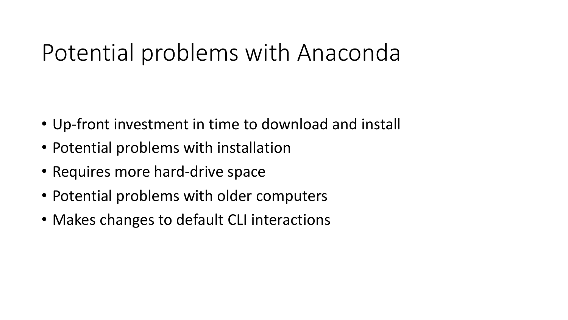# Potential problems with Anaconda

- Up-front investment in time to download and install
- Potential problems with installation
- Requires more hard-drive space
- Potential problems with older computers
- Makes changes to default CLI interactions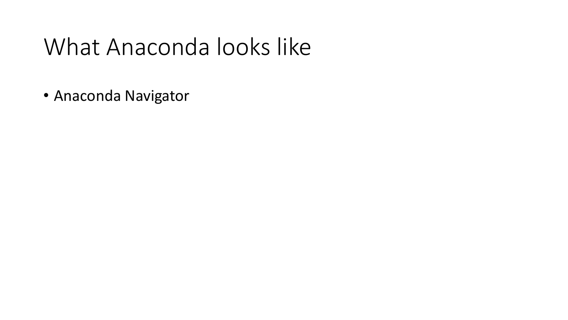# What Anaconda looks like

• Anaconda Navigator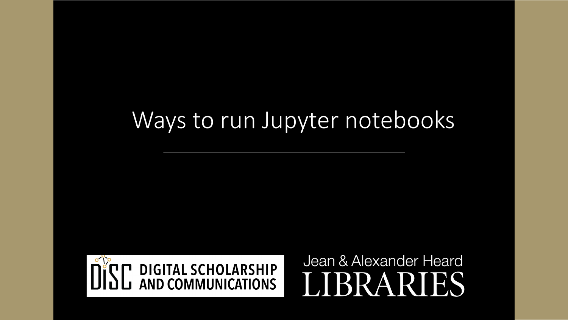#### Ways to run Jupyter notebooks



Jean & Alexander Heard **BRARI** IES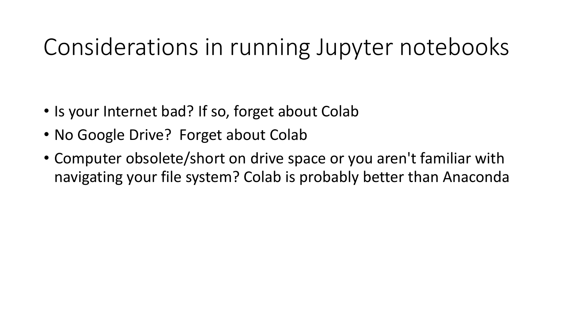### Considerations in running Jupyter notebooks

- Is your Internet bad? If so, forget about Colab
- No Google Drive? Forget about Colab
- Computer obsolete/short on drive space or you aren't familiar with navigating your file system? Colab is probably better than Anaconda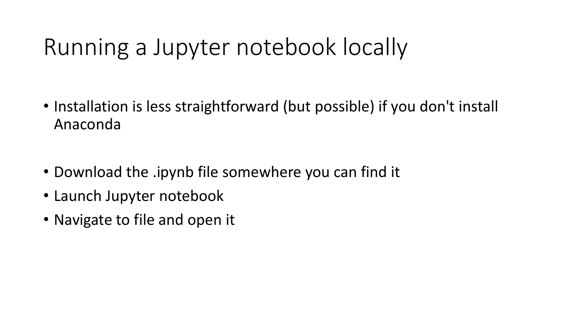# Running a Jupyter notebook locally

- Installation is less straightforward (but possible) if you don't install Anaconda
- Download the .ipynb file somewhere you can find it
- Launch Jupyter notebook
- Navigate to file and open it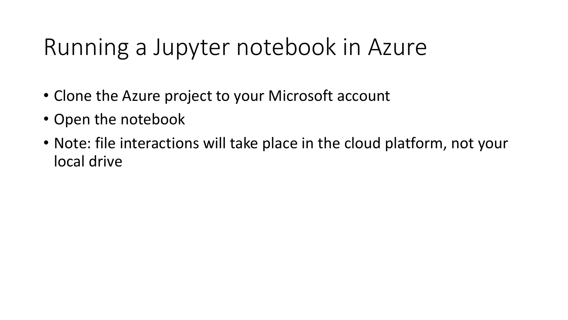# Running a Jupyter notebook in Azure

- Clone the Azure project to your Microsoft account
- Open the notebook
- Note: file interactions will take place in the cloud platform, not your local drive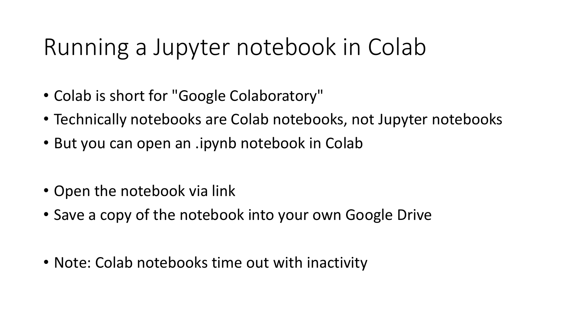# Running a Jupyter notebook in Colab

- Colab is short for "Google Colaboratory"
- Technically notebooks are Colab notebooks, not Jupyter notebooks
- But you can open an .ipynb notebook in Colab
- Open the notebook via link
- Save a copy of the notebook into your own Google Drive
- Note: Colab notebooks time out with inactivity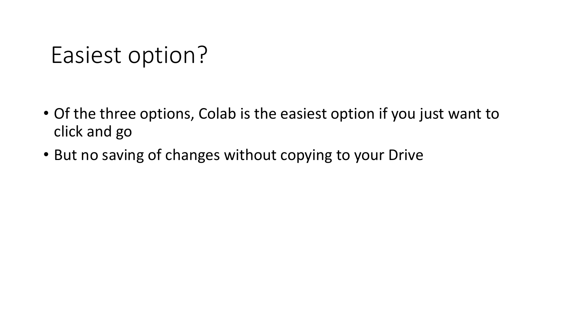#### Easiest option?

- Of the three options, Colab is the easiest option if you just want to click and go
- But no saving of changes without copying to your Drive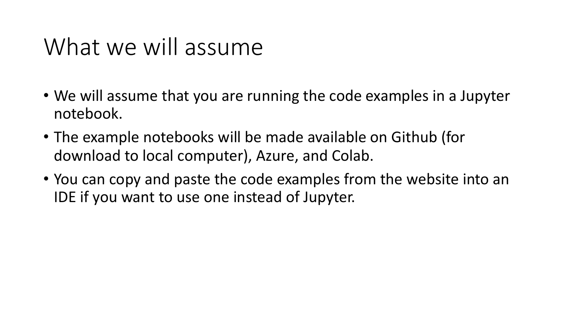# What we will assume

- We will assume that you are running the code examples in a Jupyter notebook.
- The example notebooks will be made available on Github (for download to local computer), Azure, and Colab.
- You can copy and paste the code examples from the website into an IDE if you want to use one instead of Jupyter.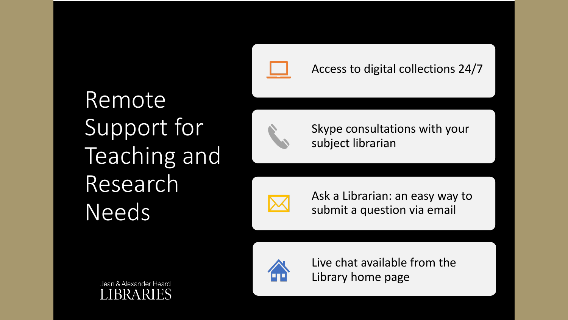

#### Access to digital collections 24/7

Remote Support for Teaching and Research Needs



Skype consultations with your subject librarian



Ask a Librarian: an easy way to submit a question via email



Live chat available from the Library home page